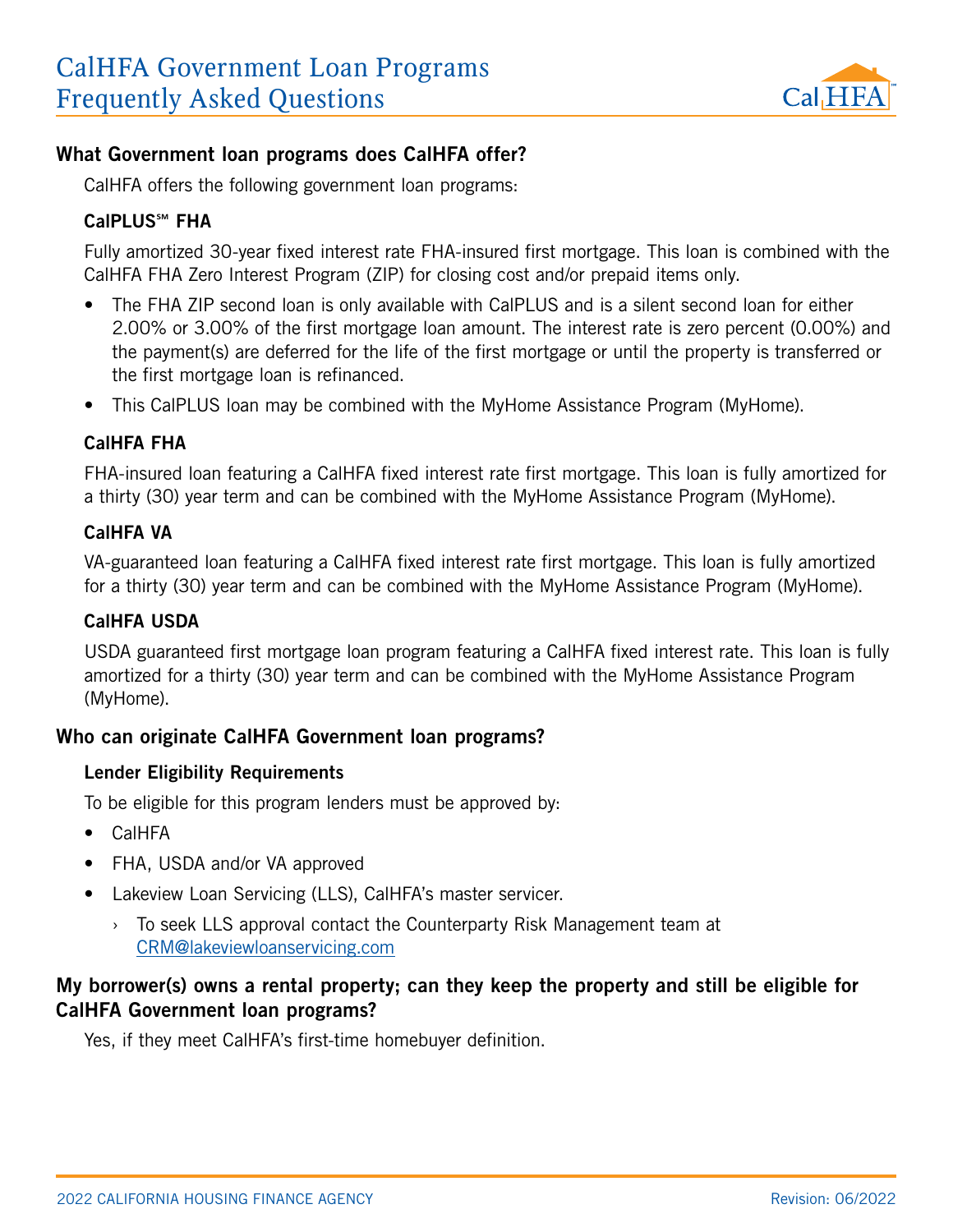

# What Government loan programs does CalHFA offer?

CalHFA offers the following government loan programs:

#### CalPLUS℠ FHA

Fully amortized 30-year fixed interest rate FHA-insured first mortgage. This loan is combined with the CalHFA FHA Zero Interest Program (ZIP) for closing cost and/or prepaid items only.

- The FHA ZIP second loan is only available with CalPLUS and is a silent second loan for either 2.00% or 3.00% of the first mortgage loan amount. The interest rate is zero percent (0.00%) and the payment(s) are deferred for the life of the first mortgage or until the property is transferred or the first mortgage loan is refinanced.
- This CalPLUS loan may be combined with the MyHome Assistance Program (MyHome).

#### CalHFA FHA

FHA-insured loan featuring a CalHFA fixed interest rate first mortgage. This loan is fully amortized for a thirty (30) year term and can be combined with the MyHome Assistance Program (MyHome).

#### CalHFA VA

VA-guaranteed loan featuring a CalHFA fixed interest rate first mortgage. This loan is fully amortized for a thirty (30) year term and can be combined with the MyHome Assistance Program (MyHome).

#### CalHFA USDA

USDA guaranteed first mortgage loan program featuring a CalHFA fixed interest rate. This loan is fully amortized for a thirty (30) year term and can be combined with the MyHome Assistance Program (MyHome).

## Who can originate CalHFA Government loan programs?

#### Lender Eligibility Requirements

To be eligible for this program lenders must be approved by:

- CalHFA
- FHA, USDA and/or VA approved
- Lakeview Loan Servicing (LLS), CalHFA's master servicer.
	- $\rightarrow$  To seek LLS approval contact the Counterparty Risk Management team at [CRM@lakeviewloanservicing.com](mailto:CRM%40Lakeviewloanservicing.com?subject=)

# My borrower(s) owns a rental property; can they keep the property and still be eligible for CalHFA Government loan programs?

Yes, if they meet CalHFA's first-time homebuyer definition.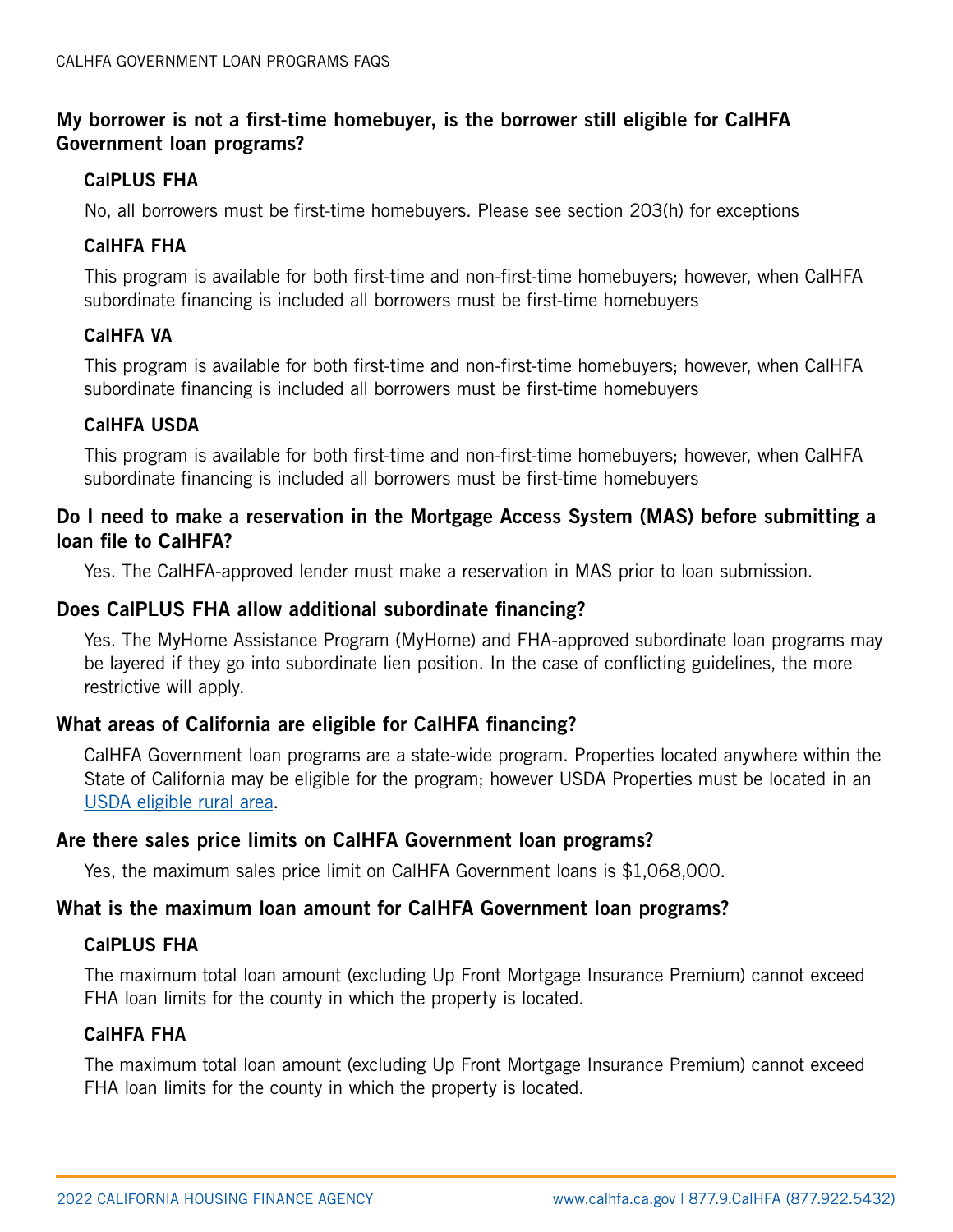# My borrower is not a first-time homebuyer, is the borrower still eligible for CalHFA Government loan programs?

#### CalPLUS FHA

No, all borrowers must be first-time homebuyers. Please see section 203(h) for exceptions

## CalHFA FHA

This program is available for both first-time and non-first-time homebuyers; however, when CalHFA subordinate financing is included all borrowers must be first-time homebuyers

## CalHFA VA

This program is available for both first-time and non-first-time homebuyers; however, when CalHFA subordinate financing is included all borrowers must be first-time homebuyers

## CalHFA USDA

This program is available for both first-time and non-first-time homebuyers; however, when CalHFA subordinate financing is included all borrowers must be first-time homebuyers

# Do I need to make a reservation in the Mortgage Access System (MAS) before submitting a loan file to CalHFA?

Yes. The CalHFA-approved lender must make a reservation in MAS prior to loan submission.

## Does CalPLUS FHA allow additional subordinate financing?

Yes. The MyHome Assistance Program (MyHome) and FHA-approved subordinate loan programs may be layered if they go into subordinate lien position. In the case of conflicting guidelines, the more restrictive will apply.

# What areas of California are eligible for CalHFA financing?

CalHFA Government loan programs are a state-wide program. Properties located anywhere within the State of California may be eligible for the program; however USDA Properties must be located in an [USDA eligible rural area.](https://eligibility.sc.egov.usda.gov/eligibility/welcomeAction.do?pageAction=sfp)

## Are there sales price limits on CalHFA Government loan programs?

Yes, the maximum sales price limit on CalHFA Government loans is \$1,068,000.

## What is the maximum loan amount for CalHFA Government loan programs?

## CalPLUS FHA

The maximum total loan amount (excluding Up Front Mortgage Insurance Premium) cannot exceed FHA loan limits for the county in which the property is located.

## CalHFA FHA

The maximum total loan amount (excluding Up Front Mortgage Insurance Premium) cannot exceed FHA loan limits for the county in which the property is located.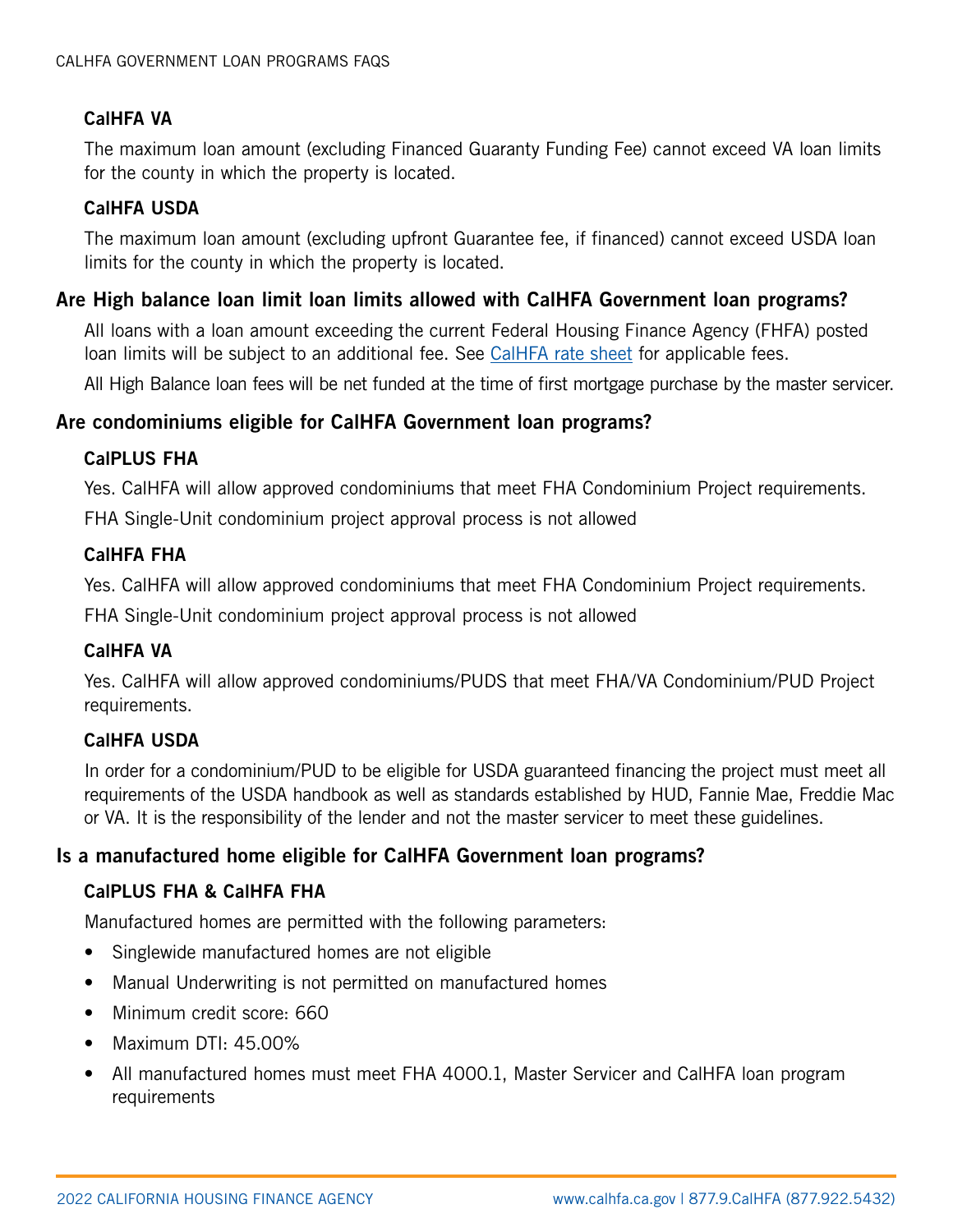# CalHFA VA

The maximum loan amount (excluding Financed Guaranty Funding Fee) cannot exceed VA loan limits for the county in which the property is located.

## CalHFA USDA

The maximum loan amount (excluding upfront Guarantee fee, if financed) cannot exceed USDA loan limits for the county in which the property is located.

## Are High balance loan limit loan limits allowed with CalHFA Government loan programs?

All loans with a loan amount exceeding the current Federal Housing Finance Agency (FHFA) posted loan limits will be subject to an additional fee. See [CalHFA rate sheet](http://www.calhfa.ca.gov/apps/rates/) for applicable fees.

All High Balance loan fees will be net funded at the time of first mortgage purchase by the master servicer.

# Are condominiums eligible for CalHFA Government loan programs?

#### CalPLUS FHA

Yes. CalHFA will allow approved condominiums that meet FHA Condominium Project requirements.

FHA Single-Unit condominium project approval process is not allowed

#### CalHFA FHA

Yes. CalHFA will allow approved condominiums that meet FHA Condominium Project requirements.

FHA Single-Unit condominium project approval process is not allowed

## CalHFA VA

Yes. CalHFA will allow approved condominiums/PUDS that meet FHA/VA Condominium/PUD Project requirements.

## CalHFA USDA

In order for a condominium/PUD to be eligible for USDA guaranteed financing the project must meet all requirements of the USDA handbook as well as standards established by HUD, Fannie Mae, Freddie Mac or VA. It is the responsibility of the lender and not the master servicer to meet these guidelines.

# Is a manufactured home eligible for CalHFA Government loan programs?

## CalPLUS FHA & CalHFA FHA

Manufactured homes are permitted with the following parameters:

- Singlewide manufactured homes are not eligible
- Manual Underwriting is not permitted on manufactured homes
- Minimum credit score: 660
- Maximum DTI: 45.00%
- All manufactured homes must meet FHA 4000.1, Master Servicer and CalHFA loan program requirements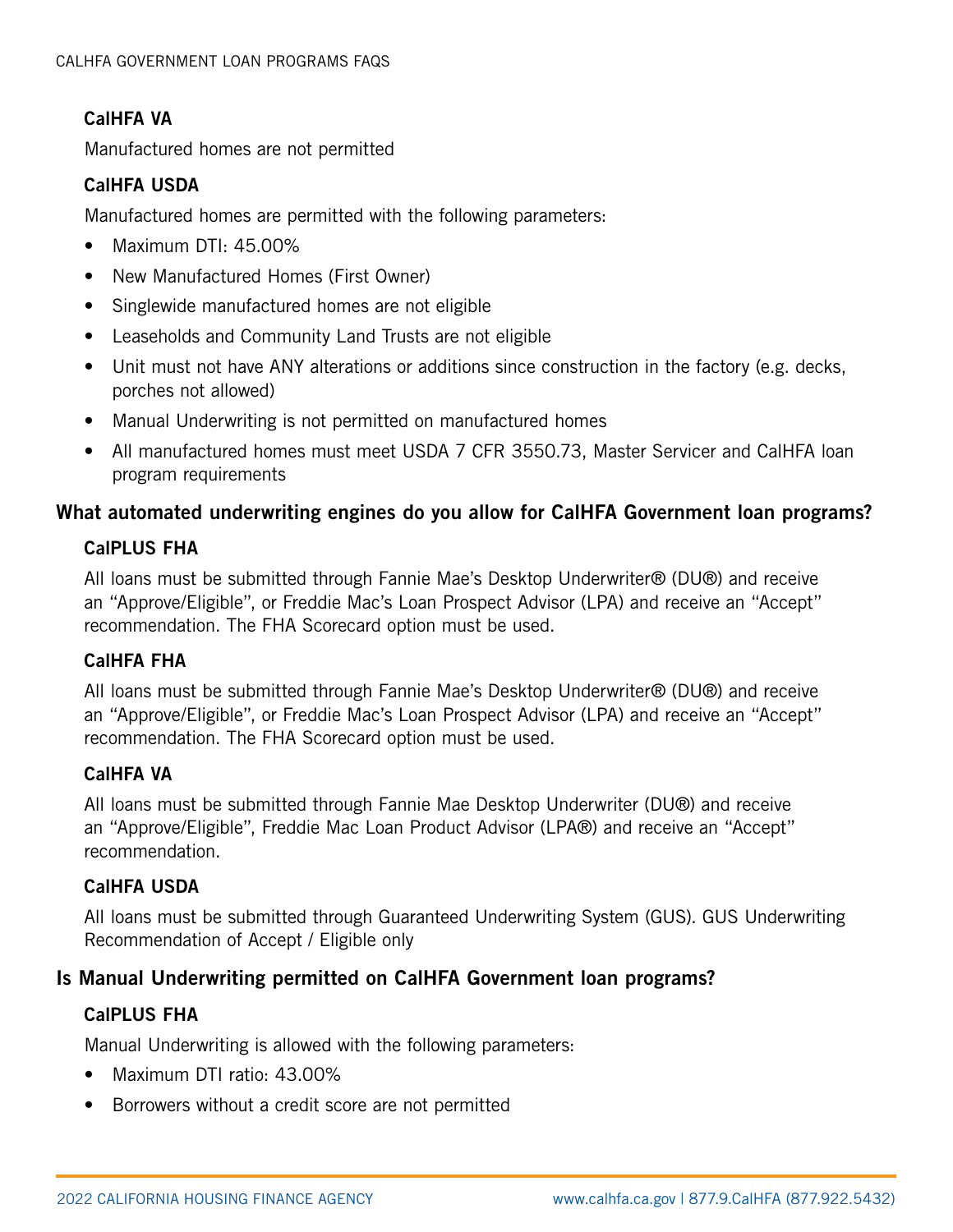## CalHFA VA

Manufactured homes are not permitted

### CalHFA USDA

Manufactured homes are permitted with the following parameters:

- Maximum DTI: 45.00%
- New Manufactured Homes (First Owner)
- Singlewide manufactured homes are not eligible
- Leaseholds and Community Land Trusts are not eligible
- Unit must not have ANY alterations or additions since construction in the factory (e.g. decks, porches not allowed)
- Manual Underwriting is not permitted on manufactured homes
- All manufactured homes must meet USDA 7 CFR 3550.73, Master Servicer and CalHFA loan program requirements

# What automated underwriting engines do you allow for CalHFA Government loan programs?

#### CalPLUS FHA

All loans must be submitted through Fannie Mae's Desktop Underwriter® (DU®) and receive an "Approve/Eligible", or Freddie Mac's Loan Prospect Advisor (LPA) and receive an "Accept" recommendation. The FHA Scorecard option must be used.

## CalHFA FHA

All loans must be submitted through Fannie Mae's Desktop Underwriter® (DU®) and receive an "Approve/Eligible", or Freddie Mac's Loan Prospect Advisor (LPA) and receive an "Accept" recommendation. The FHA Scorecard option must be used.

#### CalHFA VA

All loans must be submitted through Fannie Mae Desktop Underwriter (DU®) and receive an "Approve/Eligible", Freddie Mac Loan Product Advisor (LPA®) and receive an "Accept" recommendation.

#### CalHFA USDA

All loans must be submitted through Guaranteed Underwriting System (GUS). GUS Underwriting Recommendation of Accept / Eligible only

## Is Manual Underwriting permitted on CalHFA Government loan programs?

## CalPLUS FHA

Manual Underwriting is allowed with the following parameters:

- Maximum DTI ratio: 43.00%
- Borrowers without a credit score are not permitted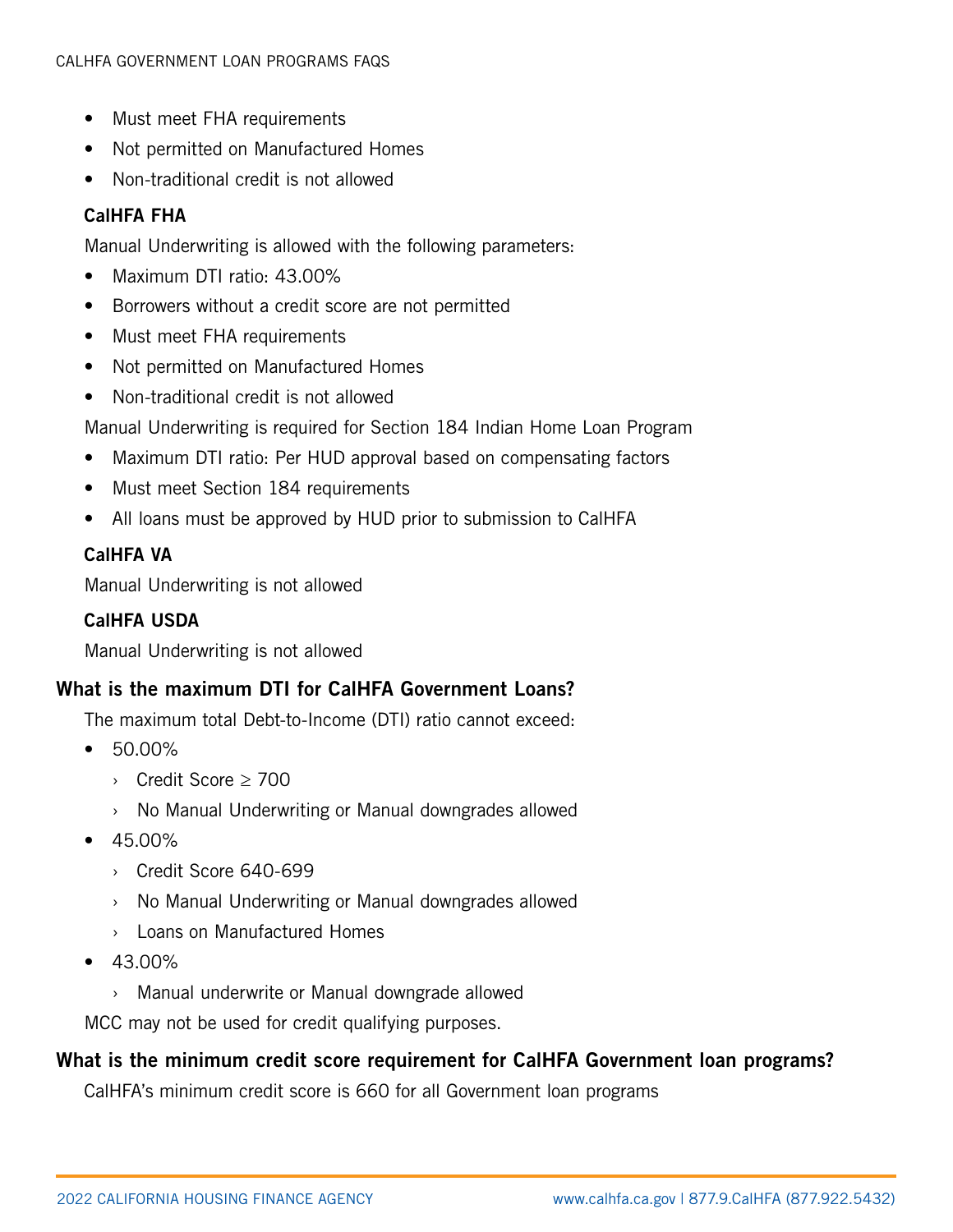- Must meet FHA requirements
- Not permitted on Manufactured Homes
- Non-traditional credit is not allowed

## CalHFA FHA

Manual Underwriting is allowed with the following parameters:

- Maximum DTI ratio: 43.00%
- Borrowers without a credit score are not permitted
- Must meet FHA requirements
- Not permitted on Manufactured Homes
- Non-traditional credit is not allowed
- Manual Underwriting is required for Section 184 Indian Home Loan Program
- Maximum DTI ratio: Per HUD approval based on compensating factors
- Must meet Section 184 requirements
- All loans must be approved by HUD prior to submission to CalHFA

# CalHFA VA

Manual Underwriting is not allowed

## CalHFA USDA

Manual Underwriting is not allowed

# What is the maximum DTI for CalHFA Government Loans?

The maximum total Debt-to-Income (DTI) ratio cannot exceed:

- 50.00%
	- › Credit Score ≥ 700
	- › No Manual Underwriting or Manual downgrades allowed
- $45.00\%$ 
	- › Credit Score 640-699
	- › No Manual Underwriting or Manual downgrades allowed
	- › Loans on Manufactured Homes
- $-43.00\%$ 
	- › Manual underwrite or Manual downgrade allowed

MCC may not be used for credit qualifying purposes.

# What is the minimum credit score requirement for CalHFA Government loan programs?

CalHFA's minimum credit score is 660 for all Government loan programs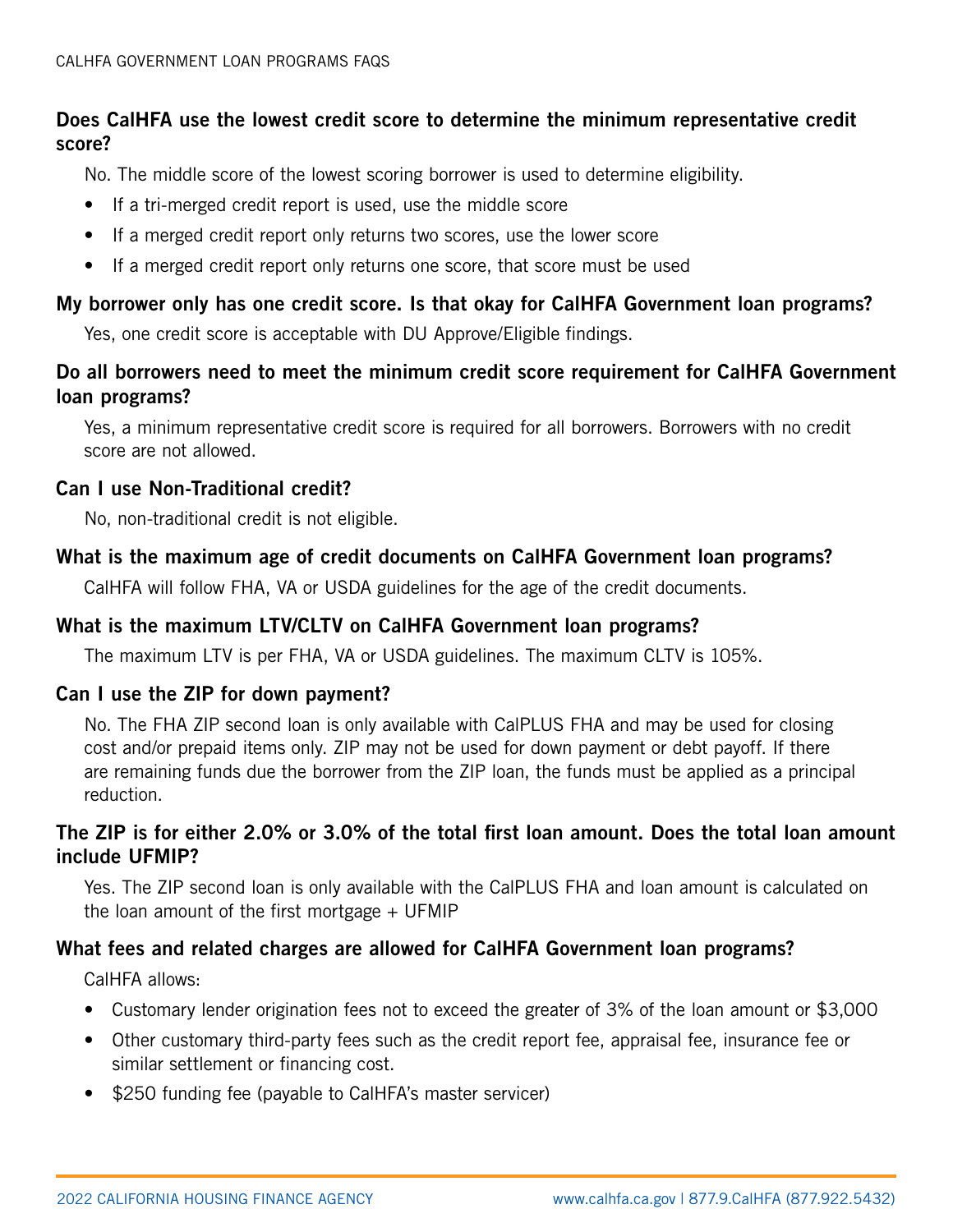# Does CalHFA use the lowest credit score to determine the minimum representative credit score?

No. The middle score of the lowest scoring borrower is used to determine eligibility.

- If a tri-merged credit report is used, use the middle score
- If a merged credit report only returns two scores, use the lower score
- If a merged credit report only returns one score, that score must be used

# My borrower only has one credit score. Is that okay for CalHFA Government loan programs?

Yes, one credit score is acceptable with DU Approve/Eligible findings.

# Do all borrowers need to meet the minimum credit score requirement for CalHFA Government loan programs?

Yes, a minimum representative credit score is required for all borrowers. Borrowers with no credit score are not allowed.

## Can I use Non-Traditional credit?

No, non-traditional credit is not eligible.

# What is the maximum age of credit documents on CalHFA Government loan programs?

CalHFA will follow FHA, VA or USDA guidelines for the age of the credit documents.

# What is the maximum LTV/CLTV on CalHFA Government loan programs?

The maximum LTV is per FHA, VA or USDA guidelines. The maximum CLTV is 105%.

## Can I use the ZIP for down payment?

No. The FHA ZIP second loan is only available with CalPLUS FHA and may be used for closing cost and/or prepaid items only. ZIP may not be used for down payment or debt payoff. If there are remaining funds due the borrower from the ZIP loan, the funds must be applied as a principal reduction.

# The ZIP is for either 2.0% or 3.0% of the total first loan amount. Does the total loan amount include UFMIP?

Yes. The ZIP second loan is only available with the CalPLUS FHA and loan amount is calculated on the loan amount of the first mortgage  $+$  UFMIP

# What fees and related charges are allowed for CalHFA Government loan programs?

CalHFA allows:

- Customary lender origination fees not to exceed the greater of 3% of the loan amount or \$3,000
- Other customary third-party fees such as the credit report fee, appraisal fee, insurance fee or similar settlement or financing cost.
- \$250 funding fee (payable to CalHFA's master servicer)